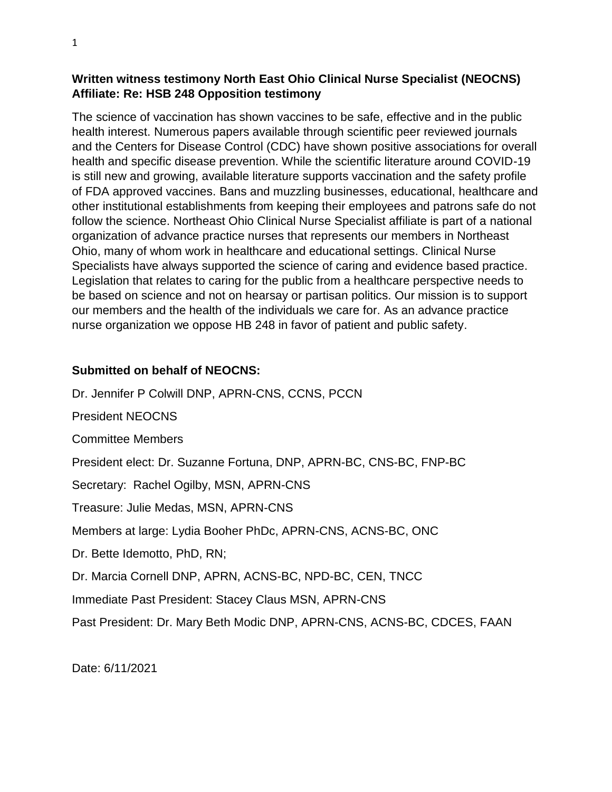## **Written witness testimony North East Ohio Clinical Nurse Specialist (NEOCNS) Affiliate: Re: HSB 248 Opposition testimony**

The science of vaccination has shown vaccines to be safe, effective and in the public health interest. Numerous papers available through scientific peer reviewed journals and the Centers for Disease Control (CDC) have shown positive associations for overall health and specific disease prevention. While the scientific literature around COVID-19 is still new and growing, available literature supports vaccination and the safety profile of FDA approved vaccines. Bans and muzzling businesses, educational, healthcare and other institutional establishments from keeping their employees and patrons safe do not follow the science. Northeast Ohio Clinical Nurse Specialist affiliate is part of a national organization of advance practice nurses that represents our members in Northeast Ohio, many of whom work in healthcare and educational settings. Clinical Nurse Specialists have always supported the science of caring and evidence based practice. Legislation that relates to caring for the public from a healthcare perspective needs to be based on science and not on hearsay or partisan politics. Our mission is to support our members and the health of the individuals we care for. As an advance practice nurse organization we oppose HB 248 in favor of patient and public safety.

## **Submitted on behalf of NEOCNS:**

Dr. Jennifer P Colwill DNP, APRN-CNS, CCNS, PCCN

President NEOCNS

Committee Members

President elect: Dr. Suzanne Fortuna, DNP, APRN-BC, CNS-BC, FNP-BC

Secretary: Rachel Ogilby, MSN, APRN-CNS

Treasure: Julie Medas, MSN, APRN-CNS

Members at large: Lydia Booher PhDc, APRN-CNS, ACNS-BC, ONC

Dr. Bette Idemotto, PhD, RN;

Dr. Marcia Cornell DNP, APRN, ACNS-BC, NPD-BC, CEN, TNCC

Immediate Past President: Stacey Claus MSN, APRN-CNS

Past President: Dr. Mary Beth Modic DNP, APRN-CNS, ACNS-BC, CDCES, FAAN

Date: 6/11/2021